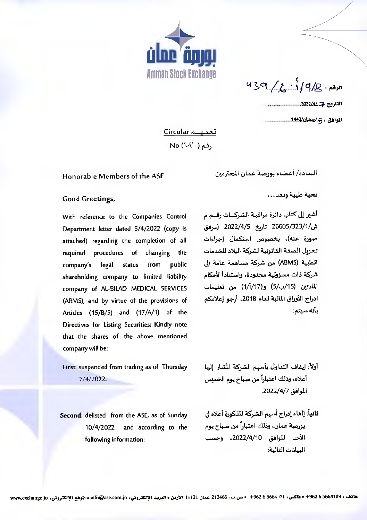

 $439 / 2 \cdot 14/8$ 

تعمیسم Circular  $No (U)$  (قمر)

## Honorable Members of the ASE

السادة/ أعضاء بورصة عمان المحترمين

Good Greetings,

With reference to the Companies Control Department letter dated 5/4/2022 (copy is attached) regarding the completion of all procedures of changing the required legal from public company's status shareholding company to limited liability company of AL-BILAD MEDICAL SERVICES (ABMS), and by virtue of the provisions of Articles (15/B/5) and (17/A/1) of the Directives for Listing Securities; Kindly note that the shares of the above mentioned company will be:

First: suspended from trading as of Thursday  $7/4/2022$ 

Second: delisted from the ASE, as of Sunday 10/4/2022 and according to the following information:

تحية طيبة وبعد...

أشير إلى كتاب دائرة مراقبــة الشركـــات رقـــم م ش/26605/323/1 تارىخ 2022/4/5 (مرفق صورة عنه)، بخصوص استكمال إجراءات تحوبل الصفة القانونية لشركة البلاد للخدمات الطبية (ABMS) من شركة مساهمة عامة إلى شركة ذات مسؤولية محدودة، واستناداً لأحكام المادتين (15/ب/5) و(1/أ/17) من تعليمات ادراج الأوراق المالية لعام 2018، أرجو إعلامكم بأنه سنتم:

- أولأ: إيقاف التداول بأسهم الشركة المُشار إليها أعلاه، وذلك اعتباراً من صباح يوم الخميس الموافق 2022/4/7.
- ثانياً: إلغاء إدراج أسهم الشركة المذكورة أعلاه في بورصة عمان، وذلك اعتباراً من صباح يوم الأحد الموافق 2022/4/10، وحسب البيانات التالية: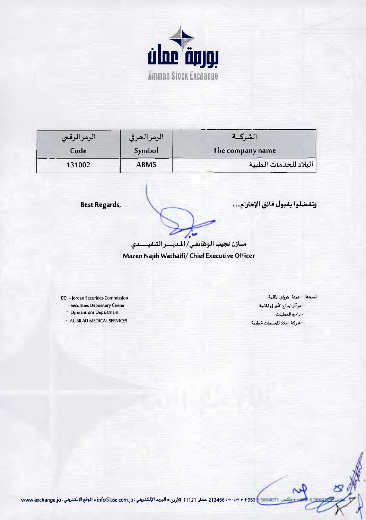

| الرمزالرقمي | الرمز الحرفى | الشركــة              |
|-------------|--------------|-----------------------|
| Code        | Symbol       | The company name      |
| 131002      | <b>ABMS</b>  | البلاد للخدمات الطبية |

**Best Regards,** 

وتفضلوا بقبول فائق الإحترام...

مسازن نجيب الوظائفي/ المديسو التنفيسسذي

Mazen Najib Wathaifi/ Chief Executive Officer

CC: - Jordan Securities Commission - Securities Depository Center

- Operantions Department

- AL-BILAD MEDICAL SERVICES

تسخه - مينة الأوراق المالية - مركز ايداع الأوراق المالية - دائرة العمليات -شركة البلاد للغدمات الطبية

ن: 9621171 + 962 + 0 0 - 0 - 0 0 11246 عمار. 11121 الأردن • البريد الإلكتروني : info@ase.com.jo • الموقع الإلكتروني : www.exchange.jo  $-616$